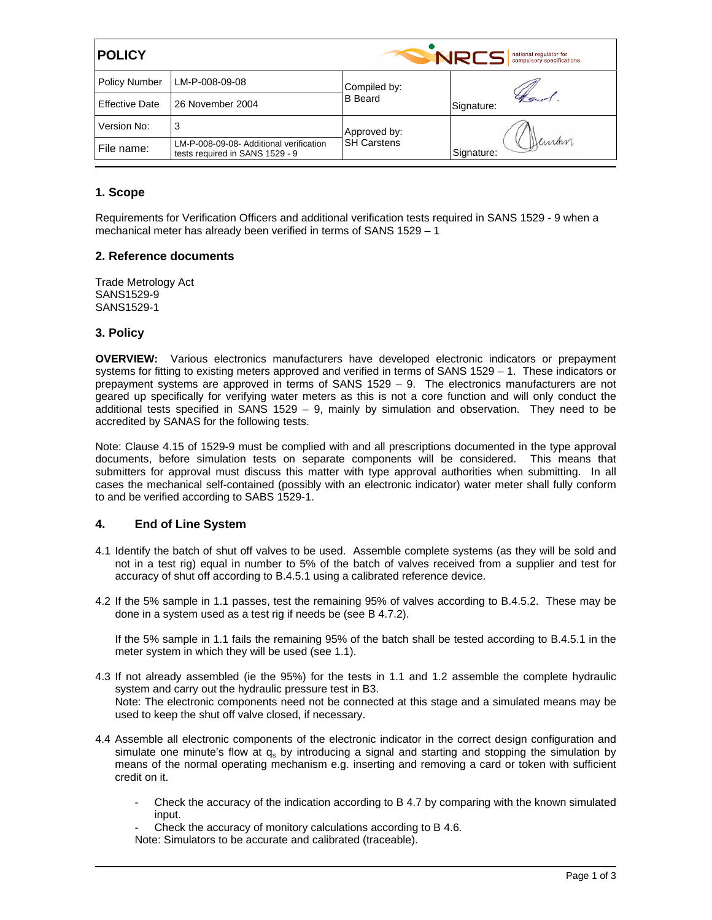| <b>POLICY</b>         |                                                                            | <b>NRCS</b><br>national regulator for<br>compulsory specifications |                      |
|-----------------------|----------------------------------------------------------------------------|--------------------------------------------------------------------|----------------------|
| <b>Policy Number</b>  | LM-P-008-09-08                                                             | Compiled by:<br><b>B</b> Beard                                     | Signature:           |
| <b>Effective Date</b> | 26 November 2004                                                           |                                                                    |                      |
| Version No:           | 3                                                                          | Approved by:<br><b>SH Carstens</b>                                 | Deiran<br>Signature: |
| File name:            | LM-P-008-09-08- Additional verification<br>tests required in SANS 1529 - 9 |                                                                    |                      |

# **1. Scope**

Requirements for Verification Officers and additional verification tests required in SANS 1529 - 9 when a mechanical meter has already been verified in terms of SANS 1529 – 1

### **2. Reference documents**

Trade Metrology Act SANS1529-9 SANS1529-1

### **3. Policy**

**OVERVIEW:** Various electronics manufacturers have developed electronic indicators or prepayment systems for fitting to existing meters approved and verified in terms of SANS 1529 – 1. These indicators or prepayment systems are approved in terms of SANS 1529 – 9. The electronics manufacturers are not geared up specifically for verifying water meters as this is not a core function and will only conduct the additional tests specified in SANS 1529 – 9, mainly by simulation and observation. They need to be accredited by SANAS for the following tests.

Note: Clause 4.15 of 1529-9 must be complied with and all prescriptions documented in the type approval documents, before simulation tests on separate components will be considered. This means that submitters for approval must discuss this matter with type approval authorities when submitting. In all cases the mechanical self-contained (possibly with an electronic indicator) water meter shall fully conform to and be verified according to SABS 1529-1.

# **4. End of Line System**

- 4.1 Identify the batch of shut off valves to be used. Assemble complete systems (as they will be sold and not in a test rig) equal in number to 5% of the batch of valves received from a supplier and test for accuracy of shut off according to B.4.5.1 using a calibrated reference device.
- 4.2 If the 5% sample in 1.1 passes, test the remaining 95% of valves according to B.4.5.2. These may be done in a system used as a test rig if needs be (see B 4.7.2).

If the 5% sample in 1.1 fails the remaining 95% of the batch shall be tested according to B.4.5.1 in the meter system in which they will be used (see 1.1).

- 4.3 If not already assembled (ie the 95%) for the tests in 1.1 and 1.2 assemble the complete hydraulic system and carry out the hydraulic pressure test in B3. Note: The electronic components need not be connected at this stage and a simulated means may be used to keep the shut off valve closed, if necessary.
- 4.4 Assemble all electronic components of the electronic indicator in the correct design configuration and simulate one minute's flow at  $q<sub>s</sub>$  by introducing a signal and starting and stopping the simulation by means of the normal operating mechanism e.g. inserting and removing a card or token with sufficient credit on it.
	- Check the accuracy of the indication according to B 4.7 by comparing with the known simulated input.
	- Check the accuracy of monitory calculations according to B 4.6.
	- Note: Simulators to be accurate and calibrated (traceable).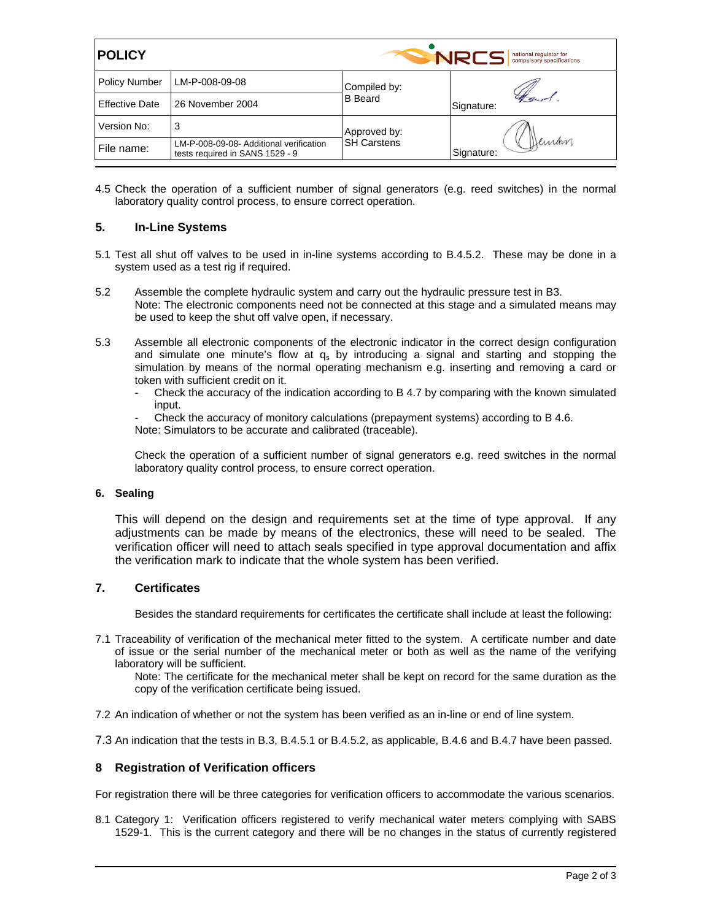| <b>POLICY</b>         |                                                                            | <b>NRCS</b><br>national regulator for<br>compulsory specifications |                     |
|-----------------------|----------------------------------------------------------------------------|--------------------------------------------------------------------|---------------------|
| <b>Policy Number</b>  | LM-P-008-09-08                                                             | Compiled by:<br><b>B</b> Beard                                     | Signature:          |
| <b>Effective Date</b> | 26 November 2004                                                           |                                                                    |                     |
| Version No:           | 3                                                                          | Approved by:<br><b>SH Carstens</b>                                 | Deman<br>Signature: |
| File name:            | LM-P-008-09-08- Additional verification<br>tests required in SANS 1529 - 9 |                                                                    |                     |

4.5 Check the operation of a sufficient number of signal generators (e.g. reed switches) in the normal laboratory quality control process, to ensure correct operation.

## **5. In-Line Systems**

- 5.1 Test all shut off valves to be used in in-line systems according to B.4.5.2. These may be done in a system used as a test rig if required.
- 5.2 Assemble the complete hydraulic system and carry out the hydraulic pressure test in B3. Note: The electronic components need not be connected at this stage and a simulated means may be used to keep the shut off valve open, if necessary.
- 5.3 Assemble all electronic components of the electronic indicator in the correct design configuration and simulate one minute's flow at  $q_s$  by introducing a signal and starting and stopping the simulation by means of the normal operating mechanism e.g. inserting and removing a card or token with sufficient credit on it.
	- Check the accuracy of the indication according to B 4.7 by comparing with the known simulated input.
	- Check the accuracy of monitory calculations (prepayment systems) according to B 4.6. Note: Simulators to be accurate and calibrated (traceable).

 Check the operation of a sufficient number of signal generators e.g. reed switches in the normal laboratory quality control process, to ensure correct operation.

#### **6. Sealing**

This will depend on the design and requirements set at the time of type approval. If any adjustments can be made by means of the electronics, these will need to be sealed. The verification officer will need to attach seals specified in type approval documentation and affix the verification mark to indicate that the whole system has been verified.

# **7. Certificates**

Besides the standard requirements for certificates the certificate shall include at least the following:

7.1 Traceability of verification of the mechanical meter fitted to the system. A certificate number and date of issue or the serial number of the mechanical meter or both as well as the name of the verifying laboratory will be sufficient.

Note: The certificate for the mechanical meter shall be kept on record for the same duration as the copy of the verification certificate being issued.

- 7.2 An indication of whether or not the system has been verified as an in-line or end of line system.
- 7.3 An indication that the tests in B.3, B.4.5.1 or B.4.5.2, as applicable, B.4.6 and B.4.7 have been passed.

## **8 Registration of Verification officers**

For registration there will be three categories for verification officers to accommodate the various scenarios.

8.1 Category 1: Verification officers registered to verify mechanical water meters complying with SABS 1529-1. This is the current category and there will be no changes in the status of currently registered